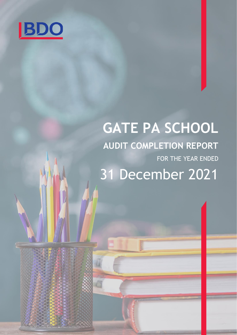

# **GATE PA SCHOOL AUDIT COMPLETION REPORT** FOR THE YEAR ENDED 31 December 2021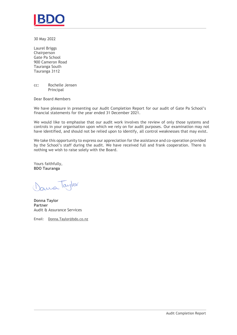

30 May 2022

Laurel Briggs Chairperson Gate Pa School 900 Cameron Road Tauranga South Tauranga 3112

cc: Rochelle Jensen Principal

Dear Board Members

We have pleasure in presenting our Audit Completion Report for our audit of Gate Pa School's financial statements for the year ended 31 December 2021.

We would like to emphasise that our audit work involves the review of only those systems and controls in your organisation upon which we rely on for audit purposes. Our examination may not have identified, and should not be relied upon to identify, all control weaknesses that may exist.

We take this opportunity to express our appreciation for the assistance and co-operation provided by the School's staff during the audit. We have received full and frank cooperation. There is nothing we wish to raise solely with the Board.

Yours faithfully, **BDO Tauranga**

Jama Taylor

**Donna Taylor Partner** Audit & Assurance Services

Email: Donna.Taylor@bdo.co.nz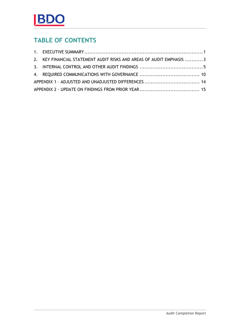### **TABLE OF CONTENTS**

| 2. KEY FINANCIAL STATEMENT AUDIT RISKS AND AREAS OF AUDIT EMPHASIS 3 |  |
|----------------------------------------------------------------------|--|
|                                                                      |  |
|                                                                      |  |
| APPENDIX 1 - ADJUSTED AND UNADJUSTED DIFFERENCES  14                 |  |
|                                                                      |  |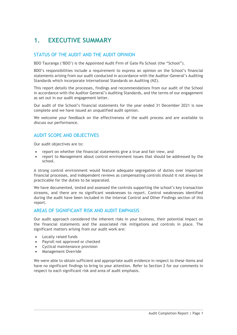## <span id="page-3-0"></span>**1. EXECUTIVE SUMMARY**

### STATUS OF THE AUDIT AND THE AUDIT OPINION

BDO Tauranga ('BDO') is the Appointed Audit Firm of Gate Pa School (the "School").

BDO's responsibilities include a requirement to express an opinion on the School's financial statements arising from our audit conducted in accordance with the Auditor-General's Auditing Standards which incorporate International Standards on Auditing (NZ).

This report details the processes, findings and recommendations from our audit of the School in accordance with the Auditor General's Auditing Standards, and the terms of our engagement as set out in our audit engagement letter.

Our audit of the School's financial statements for the year ended 31 December 2021 is now complete and we have issued an unqualified audit opinion.

We welcome your feedback on the effectiveness of the audit process and are available to discuss our performance.

### AUDIT SCOPE AND OBJECTIVES

Our audit objectives are to:

- report on whether the financial statements give a true and fair view, and
- report to Management about control environment issues that should be addressed by the school.

A strong control environment would feature adequate segregation of duties over important financial processes, and independent reviews as compensating controls should it not always be practicable for the duties to be separated.

We have documented, tested and assessed the controls supporting the school's key transaction streams, and there are no significant weaknesses to report. Control weaknesses identified during the audit have been included in the Internal Control and Other Findings section of this report.

### AREAS OF SIGNIFICANT RISK AND AUDIT EMPHASIS

Our audit approach considered the inherent risks in your business, their potential impact on the financial statements and the associated risk mitigations and controls in place. The significant matters arising from our audit work are:

- Locally raised funds
- Payroll not approved or checked
- Cyclical maintenance provision
- Management Override

We were able to obtain sufficient and appropriate audit evidence in respect to these items and have no significant findings to bring to your attention. Refer to Section 2 for our comments in respect to each significant risk and area of audit emphasis.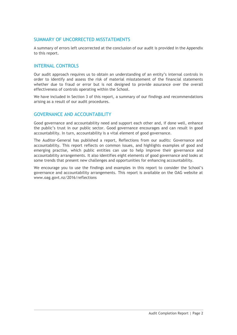### SUMMARY OF UNCORRECTED MISSTATEMENTS

A summary of errors left uncorrected at the conclusion of our audit is provided in the Appendix to this report.

### INTERNAL CONTROLS

Our audit approach requires us to obtain an understanding of an entity's internal controls in order to identify and assess the risk of material misstatement of the financial statements whether due to fraud or error but is not designed to provide assurance over the overall effectiveness of controls operating within the School.

We have included in Section 3 of this report, a summary of our findings and recommendations arising as a result of our audit procedures.

### GOVERNANCE AND ACCOUNTABILITY

Good governance and accountability need and support each other and, if done well, enhance the public's trust in our public sector. Good governance encourages and can result in good accountability. In turn, accountability is a vital element of good governance.

The Auditor-General has published a report, Reflections from our audits: Governance and accountability. This report reflects on common issues, and highlights examples of good and emerging practise, which public entities can use to help improve their governance and accountability arrangements. It also identifies eight elements of good governance and looks at some trends that present new challenges and opportunities for enhancing accountability.

We encourage you to use the findings and examples in this report to consider the School's governance and accountability arrangements. This report is available on the OAG website at [www.oag.govt.nz/2016/reflections](http://www.oag.govt.nz/2016/reflections)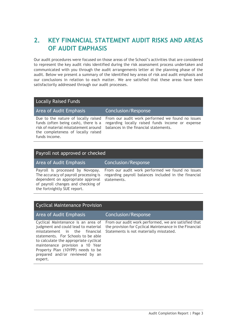### <span id="page-5-0"></span>**2. KEY FINANCIAL STATEMENT AUDIT RISKS AND AREAS OF AUDIT EMPHASIS**

Our audit procedures were focused on those areas of the School's activities that are considered to represent the key audit risks identified during the risk assessment process undertaken and communicated with you through the audit arrangements letter at the planning phase of the audit. Below we present a summary of the identified key areas of risk and audit emphasis and our conclusions in relation to each matter. We are satisfied that these areas have been satisfactorily addressed through our audit processes.

### Locally Raised Funds

Area of Audit Emphasis Conclusion/Response

Due to the nature of locally raised funds (often being cash), there is a risk of material misstatement around the completeness of locally raised funds income.

From our audit work performed we found no issues regarding locally raised funds income or expense balances in the financial statements.

### Payroll not approved or checked

Area of Audit Emphasis Conclusion/Response

Payroll is processed by Novopay. The accuracy of payroll processing is dependent on appropriate approval of payroll changes and checking of the fortnightly SUE report.

From our audit work performed we found no issues regarding payroll balances included in the financial statements.

### Cyclical Maintenance Provision

### Area of Audit Emphasis Conclusion/Response

Cyclical Maintenance is an area of judgment and could lead to material misstatement in the financial statements. For Schools to be able to calculate the appropriate cyclical maintenance provision a 10 Year Property Plan (10YPP) needs to be prepared and/or reviewed by an expert.

From our audit work performed, we are satisfied that the provision for Cyclical Maintenance in the Financial Statements is not materially misstated.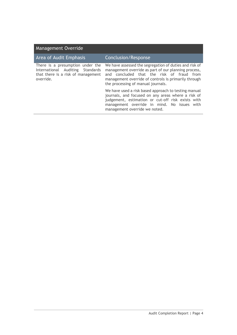| Area of Audit Emphasis                                                                                                  | <b>Conclusion/Response</b>                                                                                                                                                                                                                                |
|-------------------------------------------------------------------------------------------------------------------------|-----------------------------------------------------------------------------------------------------------------------------------------------------------------------------------------------------------------------------------------------------------|
| There is a presumption under the<br>International Auditing Standards<br>that there is a risk of management<br>override. | We have assessed the segregation of duties and risk of<br>management override as part of our planning process,<br>and concluded that the risk of fraud from<br>management override of controls is primarily through<br>the processing of manual journals. |
|                                                                                                                         | We have used a risk based approach to testing manual<br>journals, and focused on any areas where a risk of<br>judgement, estimation or cut-off risk exists with<br>management override in mind. No issues with<br>management override we noted.           |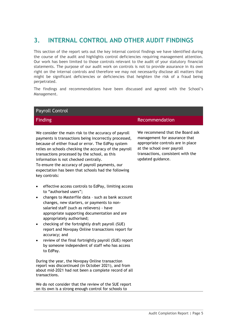### <span id="page-7-0"></span>**3. INTERNAL CONTROL AND OTHER AUDIT FINDINGS**

This section of the report sets out the key internal control findings we have identified during the course of the audit and highlights control deficiencies requiring management attention. Our work has been limited to those controls relevant to the audit of your statutory financial statements. The purpose of our audit work on controls is not to provide assurance in its own right on the internal controls and therefore we may not necessarily disclose all matters that might be significant deficiencies or deficiencies that heighten the risk of a fraud being perpetrated.

The findings and recommendations have been discussed and agreed with the School's Management.

| <b>Payroll Control</b>                                                                                                                                                                                                                                                                                                                                                                                                                                                                                                                                     |                                                                                                                                                                                               |
|------------------------------------------------------------------------------------------------------------------------------------------------------------------------------------------------------------------------------------------------------------------------------------------------------------------------------------------------------------------------------------------------------------------------------------------------------------------------------------------------------------------------------------------------------------|-----------------------------------------------------------------------------------------------------------------------------------------------------------------------------------------------|
| <b>Finding</b>                                                                                                                                                                                                                                                                                                                                                                                                                                                                                                                                             | Recommendation                                                                                                                                                                                |
| We consider the main risk to the accuracy of payroll<br>payments is transactions being incorrectly processed,<br>because of either fraud or error. The EdPay system<br>relies on schools checking the accuracy of the payroll<br>transactions processed by the school, as this<br>information is not checked centrally.<br>To ensure the accuracy of payroll payments, our<br>expectation has been that schools had the following<br>key controls:                                                                                                         | We recommend that the Board ask<br>management for assurance that<br>appropriate controls are in place<br>at the school over payroll<br>transactions, consistent with the<br>updated guidance. |
| effective access controls to EdPay, limiting access<br>to "authorised users";<br>changes to Masterfile data - such as bank account<br>changes, new starters, or payments to non-<br>salaried staff (such as relievers) - have<br>appropriate supporting documentation and are<br>appropriately authorised;<br>checking of the fortnightly draft payroll (SUE)<br>report and Novopay Online transactions report for<br>accuracy; and<br>review of the final fortnightly payroll (SUE) report<br>by someone independent of staff who has access<br>to EdPay. |                                                                                                                                                                                               |
| During the year, the Novopay Online transaction<br>report was discontinued (in October 2021), and from<br>about mid-2021 had not been a complete record of all<br>transactions.                                                                                                                                                                                                                                                                                                                                                                            |                                                                                                                                                                                               |
| We do not consider that the review of the SUE report<br>on its own is a strong enough control for schools to                                                                                                                                                                                                                                                                                                                                                                                                                                               |                                                                                                                                                                                               |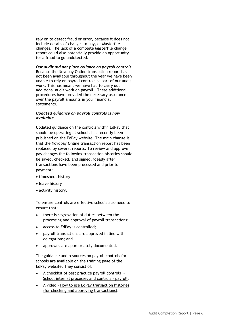rely on to detect fraud or error, because it does not include details of changes to pay, or Masterfile changes. The lack of a complete Masterfile change report could also potentially provide an opportunity for a fraud to go undetected.

*Our audit did not place reliance on payroll controls*  Because the Novopay Online transaction report has not been available throughout the year we have been unable to rely on payroll controls as part of our audit work. This has meant we have had to carry out additional audit work on payroll. These additional procedures have provided the necessary assurance over the payroll amounts in your financial statements.

#### *Updated guidance on payroll controls is now available*

Updated guidance on the controls within EdPay that should be operating at schools has recently been published on the EdPay website. The main change is that the Novopay Online transaction report has been replaced by several reports. To review and approve pay changes the following transaction histories should be saved, checked, and signed, ideally after transactions have been processed and prior to payment:

- timesheet history
- leave history
- activity history.

To ensure controls are effective schools also need to ensure that:

- there is segregation of duties between the processing and approval of payroll transactions;
- access to EdPay is controlled;
- payroll transactions are approved in line with delegations; and
- approvals are appropriately documented.

The guidance and resources on payroll controls for schools are available on the [training page](https://aus01.safelinks.protection.outlook.com/?url=https%3A%2F%2Fwww.edpay.govt.nz%2FSite%2FTraining%2Fdefault.aspx&data=04%7C01%7CJane.Rogers%40oag.parliament.nz%7C36b244bffba2417f5b0f08da103d951e%7Cbb2c152e30d940d5a418874d0f8af670%7C0%7C0%7C637840154073031959%7CUnknown%7CTWFpbGZsb3d8eyJWIjoiMC4wLjAwMDAiLCJQIjoiV2luMzIiLCJBTiI6Ik1haWwiLCJXVCI6Mn0%3D%7C2000&sdata=PtmLQ2rCJyaNRi9KKe1BSK3LKfrlu5Zp3Pq2SqDNdUU%3D&reserved=0) of the EdPay website. They consist of:

- A checklist of best practice payroll controls [School internal processes and controls](https://aus01.safelinks.protection.outlook.com/?url=https%3A%2F%2Fwww.edpay.govt.nz%2Fincludes%2Fdownload.ashx%3FID%3D162146&data=04%7C01%7CJane.Rogers%40oag.parliament.nz%7C6b4b0227683b4ddd631d08da11db0399%7Cbb2c152e30d940d5a418874d0f8af670%7C0%7C0%7C637841929598112561%7CUnknown%7CTWFpbGZsb3d8eyJWIjoiMC4wLjAwMDAiLCJQIjoiV2luMzIiLCJBTiI6Ik1haWwiLCJXVCI6Mn0%3D%7C3000&sdata=eHcc%2BHSqWhkVg6gaoj5udl1%2FioQXfF8AacKOp4oRN5A%3D&reserved=0) – payroll.
- A video [How to use EdPay transaction histories](https://aus01.safelinks.protection.outlook.com/?url=https%3A%2F%2Fvimeo.com%2F656813834%2F196cc3c812&data=04%7C01%7CJane.Rogers%40oag.parliament.nz%7C6b4b0227683b4ddd631d08da11db0399%7Cbb2c152e30d940d5a418874d0f8af670%7C0%7C0%7C637841929598112561%7CUnknown%7CTWFpbGZsb3d8eyJWIjoiMC4wLjAwMDAiLCJQIjoiV2luMzIiLCJBTiI6Ik1haWwiLCJXVCI6Mn0%3D%7C3000&sdata=VUOqKJ5ZiIllRyXbBbHYiTMjfMPvIjQ9t%2FsseiLVZRI%3D&reserved=0)  [\(for checking and approving transactions\)](https://aus01.safelinks.protection.outlook.com/?url=https%3A%2F%2Fvimeo.com%2F656813834%2F196cc3c812&data=04%7C01%7CJane.Rogers%40oag.parliament.nz%7C6b4b0227683b4ddd631d08da11db0399%7Cbb2c152e30d940d5a418874d0f8af670%7C0%7C0%7C637841929598112561%7CUnknown%7CTWFpbGZsb3d8eyJWIjoiMC4wLjAwMDAiLCJQIjoiV2luMzIiLCJBTiI6Ik1haWwiLCJXVCI6Mn0%3D%7C3000&sdata=VUOqKJ5ZiIllRyXbBbHYiTMjfMPvIjQ9t%2FsseiLVZRI%3D&reserved=0)**.**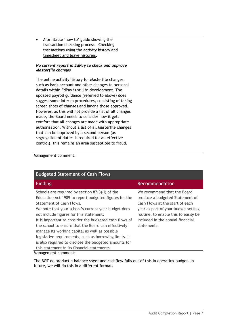• A printable 'how to' guide showing the transaction checking process - [Checking](https://aus01.safelinks.protection.outlook.com/?url=https%3A%2F%2Fwww.edpay.govt.nz%2Fincludes%2Fdownload.ashx%3FID%3D161433&data=04%7C01%7CJane.Rogers%40oag.parliament.nz%7C6b4b0227683b4ddd631d08da11db0399%7Cbb2c152e30d940d5a418874d0f8af670%7C0%7C0%7C637841929598112561%7CUnknown%7CTWFpbGZsb3d8eyJWIjoiMC4wLjAwMDAiLCJQIjoiV2luMzIiLCJBTiI6Ik1haWwiLCJXVCI6Mn0%3D%7C3000&sdata=BbyinLnZoQEoEeX6%2F%2F7MO4xIhoR%2FuLVo%2BTer3tXU878%3D&reserved=0)  [transactions using the activity history and](https://aus01.safelinks.protection.outlook.com/?url=https%3A%2F%2Fwww.edpay.govt.nz%2Fincludes%2Fdownload.ashx%3FID%3D161433&data=04%7C01%7CJane.Rogers%40oag.parliament.nz%7C6b4b0227683b4ddd631d08da11db0399%7Cbb2c152e30d940d5a418874d0f8af670%7C0%7C0%7C637841929598112561%7CUnknown%7CTWFpbGZsb3d8eyJWIjoiMC4wLjAwMDAiLCJQIjoiV2luMzIiLCJBTiI6Ik1haWwiLCJXVCI6Mn0%3D%7C3000&sdata=BbyinLnZoQEoEeX6%2F%2F7MO4xIhoR%2FuLVo%2BTer3tXU878%3D&reserved=0)  [timesheet and leave histories](https://aus01.safelinks.protection.outlook.com/?url=https%3A%2F%2Fwww.edpay.govt.nz%2Fincludes%2Fdownload.ashx%3FID%3D161433&data=04%7C01%7CJane.Rogers%40oag.parliament.nz%7C6b4b0227683b4ddd631d08da11db0399%7Cbb2c152e30d940d5a418874d0f8af670%7C0%7C0%7C637841929598112561%7CUnknown%7CTWFpbGZsb3d8eyJWIjoiMC4wLjAwMDAiLCJQIjoiV2luMzIiLCJBTiI6Ik1haWwiLCJXVCI6Mn0%3D%7C3000&sdata=BbyinLnZoQEoEeX6%2F%2F7MO4xIhoR%2FuLVo%2BTer3tXU878%3D&reserved=0)**.**

#### *No current report in EdPay to check and approve Masterfile changes*

The online activity history for Masterfile changes, such as bank account and other changes to personal details within EdPay is still in development. The updated payroll guidance (referred to above) does suggest some interim procedures, consisting of taking screen shots of changes and having those approved. However, as this will not provide a list of all changes made, the Board needs to consider how it gets comfort that all changes are made with appropriate authorisation. Without a list of all Masterfile changes that can be approved by a second person (as segregation of duties is required for an effective control), this remains an area susceptible to fraud.

### Management comment:

| <b>Budgeted Statement of Cash Flows</b>                                                                                                                                                                                                                                                                                                                                                                                                                                                                                                                                       |                                                                                                                                                                                                                                     |
|-------------------------------------------------------------------------------------------------------------------------------------------------------------------------------------------------------------------------------------------------------------------------------------------------------------------------------------------------------------------------------------------------------------------------------------------------------------------------------------------------------------------------------------------------------------------------------|-------------------------------------------------------------------------------------------------------------------------------------------------------------------------------------------------------------------------------------|
| <b>Finding</b>                                                                                                                                                                                                                                                                                                                                                                                                                                                                                                                                                                | Recommendation                                                                                                                                                                                                                      |
| Schools are required by section $87(3)(i)$ of the<br>Education Act 1989 to report budgeted figures for the<br>Statement of Cash Flows.<br>We note that your school's current year budget does<br>not include figures for this statement.<br>It is important to consider the budgeted cash flows of<br>the school to ensure that the Board can effectively<br>manage its working capital as well as possible<br>legislative requirements, such as borrowing limits. It<br>is also required to disclose the budgeted amounts for<br>this statement in its financial statements. | We recommend that the Board<br>produce a budgeted Statement of<br>Cash Flows at the start of each<br>year as part of your budget setting<br>routine, to enable this to easily be<br>included in the annual financial<br>statements. |
| Management comment:                                                                                                                                                                                                                                                                                                                                                                                                                                                                                                                                                           |                                                                                                                                                                                                                                     |

The BOT do product a balance sheet and cashflow falls out of this in operating budget. In future, we will do this in a different format.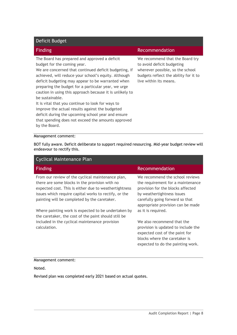### Deficit Budget

The Board has prepared and approved a deficit budget for the coming year.

We are concerned that continued deficit budgeting, if achieved, will reduce your school's equity. Although deficit budgeting may appear to be warranted when preparing the budget for a particular year, we urge caution in using this approach because it is unlikely to be sustainable.

It is vital that you continue to look for ways to improve the actual results against the budgeted deficit during the upcoming school year and ensure that spending does not exceed the amounts approved by the Board.

#### **Finding Recommendation**

We recommend that the Board try to avoid deficit budgeting wherever possible, so the school budgets reflect the ability for it to live within its means.

#### Management comment:

BOT fully aware. Deficit deliberate to support required resourcing. Mid-year budget review will endeavour to rectify this.

| Cyclical Maintenance Plan                                                                                                                                                                                                                                             |                                                                                                                                                                                                                 |
|-----------------------------------------------------------------------------------------------------------------------------------------------------------------------------------------------------------------------------------------------------------------------|-----------------------------------------------------------------------------------------------------------------------------------------------------------------------------------------------------------------|
| <b>Finding</b>                                                                                                                                                                                                                                                        | Recommendation                                                                                                                                                                                                  |
| From our review of the cyclical maintenance plan,<br>there are some blocks in the provision with no<br>expected cost. This is either due to weathertightness<br>issues which require capital works to rectify, or the<br>painting will be completed by the caretaker. | We recommend the school reviews<br>the requirement for a maintenance<br>provision for the blocks affected<br>by weathertightness issues<br>carefully going forward so that<br>appropriate provision can be made |
| Where painting work is expected to be undertaken by<br>the caretaker, the cost of the paint should still be<br>included in the cyclical maintenance provision                                                                                                         | as it is required.<br>We also recommend that the                                                                                                                                                                |
| calculation.                                                                                                                                                                                                                                                          | provision is updated to include the<br>expected cost of the paint for<br>blocks where the caretaker is<br>expected to do the painting work.                                                                     |

#### Management comment:

Noted.

Revised plan was completed early 2021 based on actual quotes.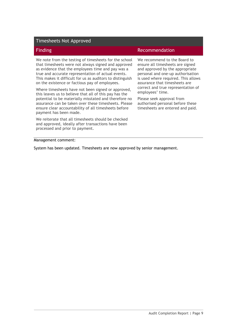| <b>Timesheets Not Approved</b>                                                                                                                                                                                                                                                                                                         |                                                                                                                                                                                                                  |
|----------------------------------------------------------------------------------------------------------------------------------------------------------------------------------------------------------------------------------------------------------------------------------------------------------------------------------------|------------------------------------------------------------------------------------------------------------------------------------------------------------------------------------------------------------------|
| <b>Finding</b>                                                                                                                                                                                                                                                                                                                         | Recommendation                                                                                                                                                                                                   |
| We note from the testing of timesheets for the school<br>that timesheets were not always signed and approved<br>as evidence that the employees time and pay was a<br>true and accurate representation of actual events.<br>This makes it difficult for us as auditors to distinguish<br>on the existence or factious pay of employees. | We recommend to the Board to<br>ensure all timesheets are signed<br>and approved by the appropriate<br>personal and one-up authorisation<br>is used where required. This allows<br>assurance that timesheets are |
| Where timesheets have not been signed or approved,<br>this leaves us to believe that all of this pay has the                                                                                                                                                                                                                           | correct and true representation of<br>employees' time.                                                                                                                                                           |
| potential to be materially misstated and therefore no<br>assurance can be taken over these timesheets. Please<br>ensure clear accountability of all timesheets before<br>payment has been made.                                                                                                                                        | Please seek approval from<br>authorised personal before these<br>timesheets are entered and paid.                                                                                                                |

We reiterate that all timesheets should be checked and approved, ideally after transactions have been processed and prior to payment.

Management comment:

<span id="page-11-0"></span>System has been updated. Timesheets are now approved by senior management.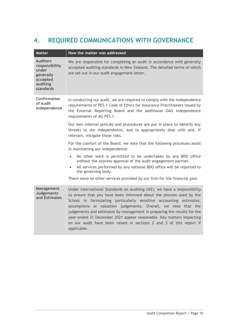# **4. REQUIRED COMMUNICATIONS WITH GOVERNANCE**

| <b>Matter</b>                                                                                | How the matter was addressed                                                                                                                                                                                                                                                                                                                                                                                                                                                                                                     |
|----------------------------------------------------------------------------------------------|----------------------------------------------------------------------------------------------------------------------------------------------------------------------------------------------------------------------------------------------------------------------------------------------------------------------------------------------------------------------------------------------------------------------------------------------------------------------------------------------------------------------------------|
| <b>Auditors</b><br>responsibility<br>under<br>generally<br>accepted<br>auditing<br>standards | We are responsible for completing an audit in accordance with generally<br>accepted auditing standards in New Zealand. The detailed terms of which<br>are set out in our audit engagement letter.                                                                                                                                                                                                                                                                                                                                |
| Confirmation<br>of Audit<br>Independence                                                     | In conducting our audit, we are required to comply with the independence<br>requirements of PES-1 Code of Ethics for Assurance Practitioners issued by<br>the External Reporting Board and the additional OAG independence<br>requirements of AG PES 1.                                                                                                                                                                                                                                                                          |
|                                                                                              | Our own internal policies and procedures are put in place to identify any<br>threats to our independence, and to appropriately deal with and, if<br>relevant, mitigate those risks.                                                                                                                                                                                                                                                                                                                                              |
|                                                                                              | For the comfort of the Board, we note that the following processes assist<br>in maintaining our independence:                                                                                                                                                                                                                                                                                                                                                                                                                    |
|                                                                                              | No other work is permitted to be undertaken by any BDO office<br>$\bullet$<br>without the express approval of the audit engagement partner.<br>All services performed by any national BDO office will be reported to<br>the governing body.                                                                                                                                                                                                                                                                                      |
|                                                                                              | There were no other services provided by our firm for the financial year.                                                                                                                                                                                                                                                                                                                                                                                                                                                        |
| Management<br><b>Judgements</b><br>and Estimates                                             | Under International Standards on Auditing (NZ), we have a responsibility<br>to ensure that you have been informed about the process used by the<br>School in formulating particularly sensitive accounting estimates,<br>assumptions or valuation judgements. Overall, we note that the<br>judgements and estimates by management in preparing the results for the<br>year ended 31 December 2021 appear reasonable. Key matters impacting<br>on our audit have been raised in sections 2 and 3 of this report if<br>applicable. |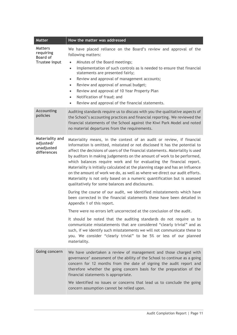| <b>Matter</b>                                                   | How the matter was addressed                                                                                                                                                                                                                                                                                                                                                                                                                                                                                                                                                                                                                                                                                                                                                                                                                  |
|-----------------------------------------------------------------|-----------------------------------------------------------------------------------------------------------------------------------------------------------------------------------------------------------------------------------------------------------------------------------------------------------------------------------------------------------------------------------------------------------------------------------------------------------------------------------------------------------------------------------------------------------------------------------------------------------------------------------------------------------------------------------------------------------------------------------------------------------------------------------------------------------------------------------------------|
| <b>Matters</b><br>requiring<br><b>Board of</b><br>Trustee input | We have placed reliance on the Board's review and approval of the<br>following matters:<br>Minutes of the Board meetings;<br>$\bullet$<br>Implementation of such controls as is needed to ensure that financial<br>$\bullet$<br>statements are presented fairly;<br>Review and approval of management accounts;<br>$\bullet$<br>Review and approval of annual budget;<br>$\bullet$<br>Review and approval of 10 Year Property Plan<br>$\bullet$<br>Notification of fraud; and<br>$\bullet$<br>Review and approval of the financial statements.<br>$\bullet$                                                                                                                                                                                                                                                                                   |
| <b>Accounting</b><br>policies                                   | Auditing standards require us to discuss with you the qualitative aspects of<br>the School's accounting practices and financial reporting. We reviewed the<br>financial statements of the School against the Kiwi Park Model and noted<br>no material departures from the requirements.                                                                                                                                                                                                                                                                                                                                                                                                                                                                                                                                                       |
| Materiality and<br>adjusted/<br>unadjusted<br>differences       | Materiality means, in the context of an audit or review, if financial<br>information is omitted, misstated or not disclosed it has the potential to<br>affect the decisions of users of the financial statements. Materiality is used<br>by auditors in making judgements on the amount of work to be performed,<br>which balances require work and for evaluating the financial report.<br>Materiality is initially calculated at the planning stage and has an influence<br>on the amount of work we do, as well as where we direct our audit efforts.<br>Materiality is not only based on a numeric quantification but is assessed<br>qualitatively for some balances and disclosures.<br>During the course of our audit, we identified misstatements which have<br>been corrected in the financial statements these have been detailed in |
|                                                                 | Appendix 1 of this report.                                                                                                                                                                                                                                                                                                                                                                                                                                                                                                                                                                                                                                                                                                                                                                                                                    |
|                                                                 | There were no errors left uncorrected at the conclusion of the audit.<br>It should be noted that the auditing standards do not require us to<br>communicate misstatements that are considered "clearly trivial" and as<br>such, if we identify such misstatements we will not communicate these to<br>you. We consider "clearly trivial" to be 5% or less of our planned<br>materiality.                                                                                                                                                                                                                                                                                                                                                                                                                                                      |
| Going concern                                                   | We have undertaken a review of management and those charged with<br>governance' assessment of the ability of the School to continue as a going<br>concern for 12 months from the date of signing the audit report and<br>therefore whether the going concern basis for the preparation of the<br>financial statements is appropriate.<br>We identified no issues or concerns that lead us to conclude the going<br>concern assumption cannot be relied upon.                                                                                                                                                                                                                                                                                                                                                                                  |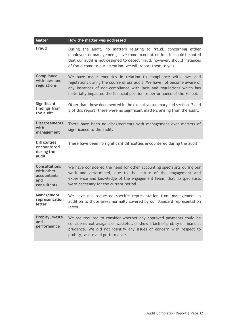| <b>Matter</b>                                                           | How the matter was addressed                                                                                                                                                                                                                                                                 |
|-------------------------------------------------------------------------|----------------------------------------------------------------------------------------------------------------------------------------------------------------------------------------------------------------------------------------------------------------------------------------------|
| Fraud                                                                   | During the audit, no matters relating to fraud, concerning either<br>employees or management, have come to our attention. It should be noted<br>that our audit is not designed to detect fraud, however, should instances<br>of fraud come to our attention, we will report them to you.     |
| Compliance<br>with laws and<br>regulations                              | We have made enquiries in relation to compliance with laws and<br>regulations during the course of our audit. We have not become aware of<br>any instances of non-compliance with laws and regulations which has<br>materially impacted the financial position or performance of the School. |
| Significant<br>findings from<br>the audit                               | Other than those documented in the executive summary and sections 2 and<br>3 of this report, there were no significant matters arising from the audit.                                                                                                                                       |
| <b>Disagreements</b><br>with<br>management                              | There have been no disagreements with management over matters of<br>significance to the audit.                                                                                                                                                                                               |
| <b>Difficulties</b><br>encountered<br>during the<br>audit               | There have been no significant difficulties encountered during the audit.                                                                                                                                                                                                                    |
| <b>Consultations</b><br>with other<br>accountants<br>and<br>consultants | We have considered the need for other accounting specialists during our<br>work and determined, due to the nature of the engagement and<br>experience and knowledge of the engagement team, that no specialists<br>were necessary for the current period.                                    |
| Management<br>representation<br>letter                                  | We have not requested specific representation from management in<br>addition to those areas normally covered by our standard representation<br>letter.                                                                                                                                       |
| Probity, waste<br>and<br>performance                                    | We are required to consider whether any approved payments could be<br>considered extravagant or wasteful, or show a lack of probity or financial<br>prudence. We did not identify any issues of concern with respect to<br>probity, waste and performance.                                   |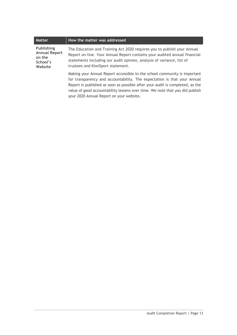| <b>Matter</b>                                                              | How the matter was addressed                                                                                                                                                                                                                                                                                                                                       |
|----------------------------------------------------------------------------|--------------------------------------------------------------------------------------------------------------------------------------------------------------------------------------------------------------------------------------------------------------------------------------------------------------------------------------------------------------------|
| <b>Publishing</b><br><b>Annual Report</b><br>on the<br>School's<br>Website | The Education and Training Act 2020 requires you to publish your Annual<br>Report on-line. Your Annual Report contains your audited annual financial<br>statements including our audit opinion, analysis of variance, list of<br>trustees and KiwiSport statement.                                                                                                 |
|                                                                            | Making your Annual Report accessible to the school community is important<br>for transparency and accountability. The expectation is that your Annual<br>Report is published as soon as possible after your audit is completed, as the<br>value of good accountability lessens over time. We note that you did publish<br>your 2020 Annual Report on your website. |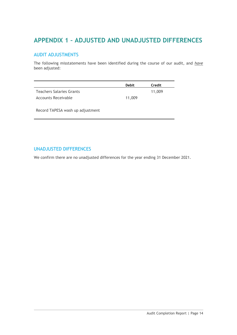### <span id="page-16-0"></span>**APPENDIX 1 – ADJUSTED AND UNADJUSTED DIFFERENCES**

### AUDIT ADJUSTMENTS

The following misstatements have been identified during the course of our audit, and *have* been adjusted:

|                                 | <b>Debit</b> | Credit |
|---------------------------------|--------------|--------|
| <b>Teachers Salaries Grants</b> |              | 11,009 |
| Accounts Receivable             | 11,009       |        |

Record TAPESA wash up adjustment

### UNADJUSTED DIFFERENCES

We confirm there are no unadjusted differences for the year ending 31 December 2021.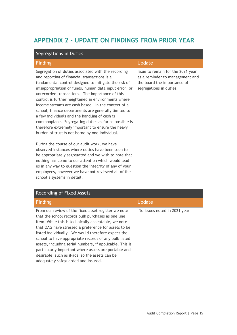### <span id="page-17-0"></span>**APPENDIX 2 - UPDATE ON FINDINGS FROM PRIOR YEAR**

| Segregations in Duties                                                                                                                                                                                                                                                                                                                                                                                                                                                                                                                                                                                                                                         |                                                                                                                                |
|----------------------------------------------------------------------------------------------------------------------------------------------------------------------------------------------------------------------------------------------------------------------------------------------------------------------------------------------------------------------------------------------------------------------------------------------------------------------------------------------------------------------------------------------------------------------------------------------------------------------------------------------------------------|--------------------------------------------------------------------------------------------------------------------------------|
| <b>Finding</b>                                                                                                                                                                                                                                                                                                                                                                                                                                                                                                                                                                                                                                                 | Update                                                                                                                         |
| Segregation of duties associated with the recording<br>and reporting of financial transactions is a<br>fundamental control designed to mitigate the risk of<br>misappropriation of funds, human data input error, or<br>unrecorded transactions. The importance of this<br>control is further heightened in environments where<br>income streams are cash based. In the context of a<br>school, finance departments are generally limited to<br>a few individuals and the handling of cash is<br>commonplace. Segregating duties as far as possible is<br>therefore extremely important to ensure the heavy<br>burden of trust is not borne by one individual. | Issue to remain for the 2021 year<br>as a reminder to management and<br>the board the importance of<br>segregations in duties. |
| During the course of our audit work, we have<br>observed instances where duties have been seen to                                                                                                                                                                                                                                                                                                                                                                                                                                                                                                                                                              |                                                                                                                                |

| Recording of Fixed Assets |  |  |
|---------------------------|--|--|
|---------------------------|--|--|

school's systems in detail.

be appropriately segregated and we wish to note that nothing has come to our attention which would lead us in any way to question the integrity of any of your employees, however we have not reviewed all of the

| <b>Finding</b>                                                                                                                                                                                                                                                                                                                                                                                                                                                                                                                                       | <b>Update</b>                 |
|------------------------------------------------------------------------------------------------------------------------------------------------------------------------------------------------------------------------------------------------------------------------------------------------------------------------------------------------------------------------------------------------------------------------------------------------------------------------------------------------------------------------------------------------------|-------------------------------|
| From our review of the fixed asset register we note<br>that the school records bulk purchases as one line<br>item. While this is technically acceptable, we note<br>that OAG have stressed a preference for assets to be<br>listed individually. We would therefore expect the<br>school to have appropriate records of any bulk listed<br>assets, including serial numbers, if applicable. This is<br>particularly important where assets are portable and<br>desirable, such as iPads, so the assets can be<br>adequately safeguarded and insured. | No issues noted in 2021 year. |